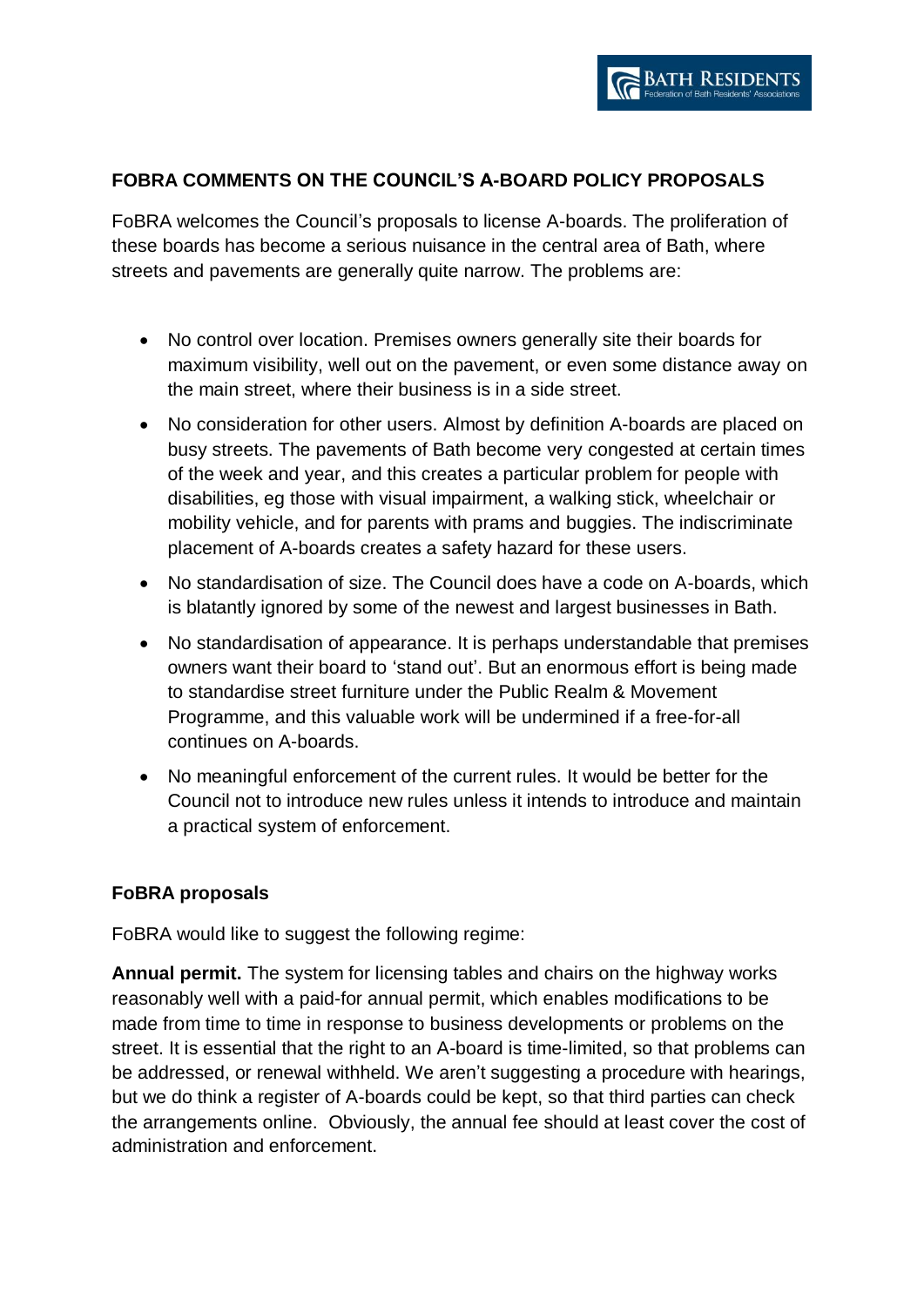## **FOBRA COMMENTS ON THE COUNCIL'S A-BOARD POLICY PROPOSALS**

FoBRA welcomes the Council's proposals to license A-boards. The proliferation of these boards has become a serious nuisance in the central area of Bath, where streets and pavements are generally quite narrow. The problems are:

- No control over location. Premises owners generally site their boards for maximum visibility, well out on the pavement, or even some distance away on the main street, where their business is in a side street.
- No consideration for other users. Almost by definition A-boards are placed on busy streets. The pavements of Bath become very congested at certain times of the week and year, and this creates a particular problem for people with disabilities, eg those with visual impairment, a walking stick, wheelchair or mobility vehicle, and for parents with prams and buggies. The indiscriminate placement of A-boards creates a safety hazard for these users.
- No standardisation of size. The Council does have a code on A-boards, which is blatantly ignored by some of the newest and largest businesses in Bath.
- No standardisation of appearance. It is perhaps understandable that premises owners want their board to 'stand out'. But an enormous effort is being made to standardise street furniture under the Public Realm & Movement Programme, and this valuable work will be undermined if a free-for-all continues on A-boards.
- No meaningful enforcement of the current rules. It would be better for the Council not to introduce new rules unless it intends to introduce and maintain a practical system of enforcement.

## **FoBRA proposals**

FoBRA would like to suggest the following regime:

**Annual permit.** The system for licensing tables and chairs on the highway works reasonably well with a paid-for annual permit, which enables modifications to be made from time to time in response to business developments or problems on the street. It is essential that the right to an A-board is time-limited, so that problems can be addressed, or renewal withheld. We aren't suggesting a procedure with hearings, but we do think a register of A-boards could be kept, so that third parties can check the arrangements online. Obviously, the annual fee should at least cover the cost of administration and enforcement.